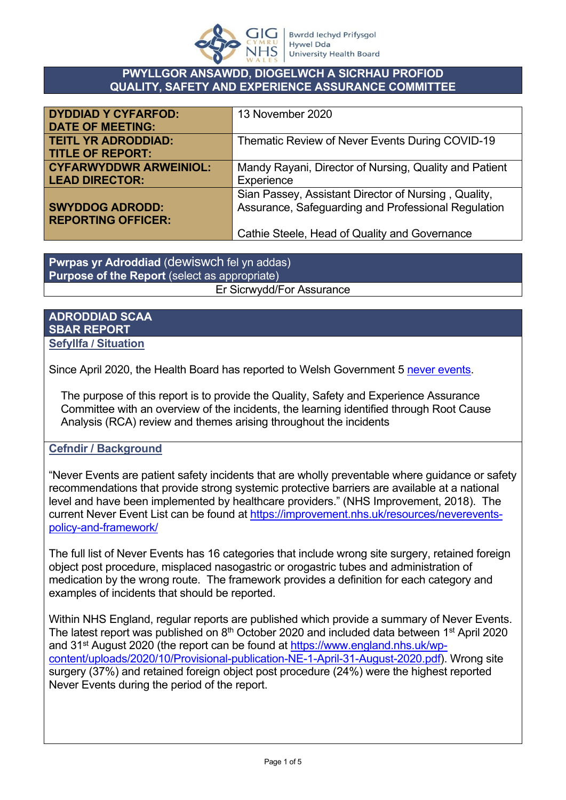

### **PWYLLGOR ANSAWDD, DIOGELWCH A SICRHAU PROFIOD QUALITY, SAFETY AND EXPERIENCE ASSURANCE COMMITTEE**

| <b>DYDDIAD Y CYFARFOD:</b>    | 13 November 2020                                       |
|-------------------------------|--------------------------------------------------------|
| <b>DATE OF MEETING:</b>       |                                                        |
| <b>TEITL YR ADRODDIAD:</b>    | Thematic Review of Never Events During COVID-19        |
| <b>TITLE OF REPORT:</b>       |                                                        |
| <b>CYFARWYDDWR ARWEINIOL:</b> | Mandy Rayani, Director of Nursing, Quality and Patient |
| <b>LEAD DIRECTOR:</b>         | Experience                                             |
|                               | Sian Passey, Assistant Director of Nursing, Quality,   |
| <b>SWYDDOG ADRODD:</b>        | Assurance, Safeguarding and Professional Regulation    |
| <b>REPORTING OFFICER:</b>     |                                                        |
|                               | Cathie Steele, Head of Quality and Governance          |

**Pwrpas yr Adroddiad** (dewiswch fel yn addas) **Purpose of the Report** (select as appropriate) Er Sicrwydd/For Assurance

#### **ADRODDIAD SCAA SBAR REPORT Sefyllfa / Situation**

Since April 2020, the Health Board has reported to Welsh Government 5 [never events](https://improvement.nhs.uk/documents/2266/Never_Events_list_2018_FINAL_v5.pdf).

The purpose of this report is to provide the Quality, Safety and Experience Assurance Committee with an overview of the incidents, the learning identified through Root Cause Analysis (RCA) review and themes arising throughout the incidents

## **Cefndir / Background**

"Never Events are patient safety incidents that are wholly preventable where guidance or safety recommendations that provide strong systemic protective barriers are available at a national level and have been implemented by healthcare providers." (NHS Improvement, 2018). The current Never Event List can be found at [https://improvement.nhs.uk/resources/neverevents](https://improvement.nhs.uk/resources/neverevents-policy-and-framework/)[policy-and-framework/](https://improvement.nhs.uk/resources/neverevents-policy-and-framework/)

The full list of Never Events has 16 categories that include wrong site surgery, retained foreign object post procedure, misplaced nasogastric or orogastric tubes and administration of medication by the wrong route. The framework provides a definition for each category and examples of incidents that should be reported.

Within NHS England, regular reports are published which provide a summary of Never Events. The latest report was published on  $8<sup>th</sup>$  October 2020 and included data between 1<sup>st</sup> April 2020 and 31<sup>st</sup> August 2020 (the report can be found at [https://www.england.nhs.uk/wp](https://www.england.nhs.uk/wp-content/uploads/2020/10/Provisional-publication-NE-1-April-31-August-2020.pdf)[content/uploads/2020/10/Provisional-publication-NE-1-April-31-August-2020.pdf](https://www.england.nhs.uk/wp-content/uploads/2020/10/Provisional-publication-NE-1-April-31-August-2020.pdf)). Wrong site surgery (37%) and retained foreign object post procedure (24%) were the highest reported Never Events during the period of the report.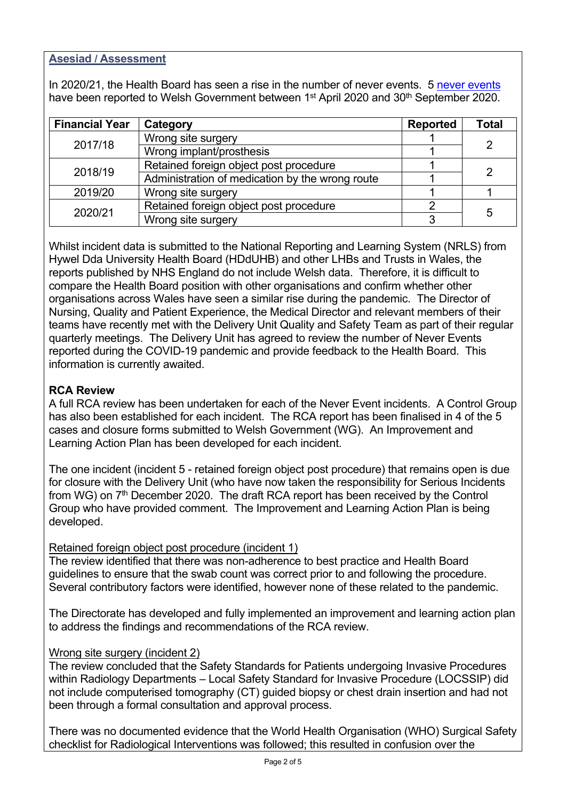## **Asesiad / Assessment**

In 2020/21, the Health Board has seen a rise in the number of never events. 5 [never events](https://improvement.nhs.uk/documents/2266/Never_Events_list_2018_FINAL_v5.pdf)  have been reported to Welsh Government between 1<sup>st</sup> April 2020 and 30<sup>th</sup> September 2020.

| <b>Financial Year</b> | Category                                        | <b>Reported</b> | <b>Total</b>   |  |
|-----------------------|-------------------------------------------------|-----------------|----------------|--|
| 2017/18               | Wrong site surgery                              |                 | $\overline{2}$ |  |
|                       | Wrong implant/prosthesis                        |                 |                |  |
|                       | Retained foreign object post procedure          |                 |                |  |
| 2018/19               | Administration of medication by the wrong route | 2               |                |  |
| 2019/20               | Wrong site surgery                              |                 |                |  |
|                       | Retained foreign object post procedure          |                 |                |  |
| 2020/21               | Wrong site surgery                              |                 | 5              |  |

Whilst incident data is submitted to the National Reporting and Learning System (NRLS) from Hywel Dda University Health Board (HDdUHB) and other LHBs and Trusts in Wales, the reports published by NHS England do not include Welsh data. Therefore, it is difficult to compare the Health Board position with other organisations and confirm whether other organisations across Wales have seen a similar rise during the pandemic. The Director of Nursing, Quality and Patient Experience, the Medical Director and relevant members of their teams have recently met with the Delivery Unit Quality and Safety Team as part of their regular quarterly meetings. The Delivery Unit has agreed to review the number of Never Events reported during the COVID-19 pandemic and provide feedback to the Health Board. This information is currently awaited.

## **RCA Review**

A full RCA review has been undertaken for each of the Never Event incidents. A Control Group has also been established for each incident. The RCA report has been finalised in 4 of the 5 cases and closure forms submitted to Welsh Government (WG). An Improvement and Learning Action Plan has been developed for each incident.

The one incident (incident 5 - retained foreign object post procedure) that remains open is due for closure with the Delivery Unit (who have now taken the responsibility for Serious Incidents from WG) on 7<sup>th</sup> December 2020. The draft RCA report has been received by the Control Group who have provided comment. The Improvement and Learning Action Plan is being developed.

### Retained foreign object post procedure (incident 1)

The review identified that there was non-adherence to best practice and Health Board guidelines to ensure that the swab count was correct prior to and following the procedure. Several contributory factors were identified, however none of these related to the pandemic.

The Directorate has developed and fully implemented an improvement and learning action plan to address the findings and recommendations of the RCA review.

### Wrong site surgery (incident 2)

The review concluded that the Safety Standards for Patients undergoing Invasive Procedures within Radiology Departments – Local Safety Standard for Invasive Procedure (LOCSSIP) did not include computerised tomography (CT) guided biopsy or chest drain insertion and had not been through a formal consultation and approval process.

There was no documented evidence that the World Health Organisation (WHO) Surgical Safety checklist for Radiological Interventions was followed; this resulted in confusion over the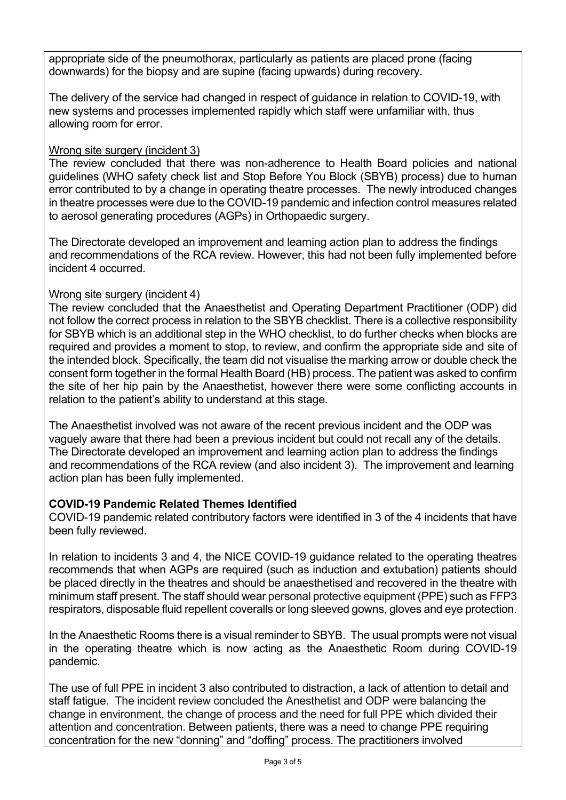appropriate side of the pneumothorax, particularly as patients are placed prone (facing downwards) for the biopsy and are supine (facing upwards) during recovery.

The delivery of the service had changed in respect of guidance in relation to COVID-19, with new systems and processes implemented rapidly which staff were unfamiliar with, thus allowing room for error.

# Wrong site surgery (incident 3)

The review concluded that there was non-adherence to Health Board policies and national guidelines (WHO safety check list and Stop Before You Block (SBYB) process) due to human error contributed to by a change in operating theatre processes. The newly introduced changes in theatre processes were due to the COVID-19 pandemic and infection control measures related to aerosol generating procedures (AGPs) in Orthopaedic surgery.

The Directorate developed an improvement and learning action plan to address the findings and recommendations of the RCA review. However, this had not been fully implemented before incident 4 occurred.

## Wrong site surgery (incident 4)

The review concluded that the Anaesthetist and Operating Department Practitioner (ODP) did not follow the correct process in relation to the SBYB checklist. There is a collective responsibility for SBYB which is an additional step in the WHO checklist, to do further checks when blocks are required and provides a moment to stop, to review, and confirm the appropriate side and site of the intended block. Specifically, the team did not visualise the marking arrow or double check the consent form together in the formal Health Board (HB) process. The patient was asked to confirm the site of her hip pain by the Anaesthetist, however there were some conflicting accounts in relation to the patient's ability to understand at this stage.

The Anaesthetist involved was not aware of the recent previous incident and the ODP was vaguely aware that there had been a previous incident but could not recall any of the details. The Directorate developed an improvement and learning action plan to address the findings and recommendations of the RCA review (and also incident 3). The improvement and learning action plan has been fully implemented.

## **COVID-19 Pandemic Related Themes Identified**

COVID-19 pandemic related contributory factors were identified in 3 of the 4 incidents that have been fully reviewed.

In relation to incidents 3 and 4, the NICE COVID-19 guidance related to the operating theatres recommends that when AGPs are required (such as induction and extubation) patients should be placed directly in the theatres and should be anaesthetised and recovered in the theatre with minimum staff present. The staff should wear personal protective equipment (PPE) such as FFP3 respirators, disposable fluid repellent coveralls or long sleeved gowns, gloves and eye protection.

In the Anaesthetic Rooms there is a visual reminder to SBYB. The usual prompts were not visual in the operating theatre which is now acting as the Anaesthetic Room during COVID-19 pandemic.

The use of full PPE in incident 3 also contributed to distraction, a lack of attention to detail and staff fatigue. The incident review concluded the Anesthetist and ODP were balancing the change in environment, the change of process and the need for full PPE which divided their attention and concentration. Between patients, there was a need to change PPE requiring concentration for the new "donning" and "doffing" process. The practitioners involved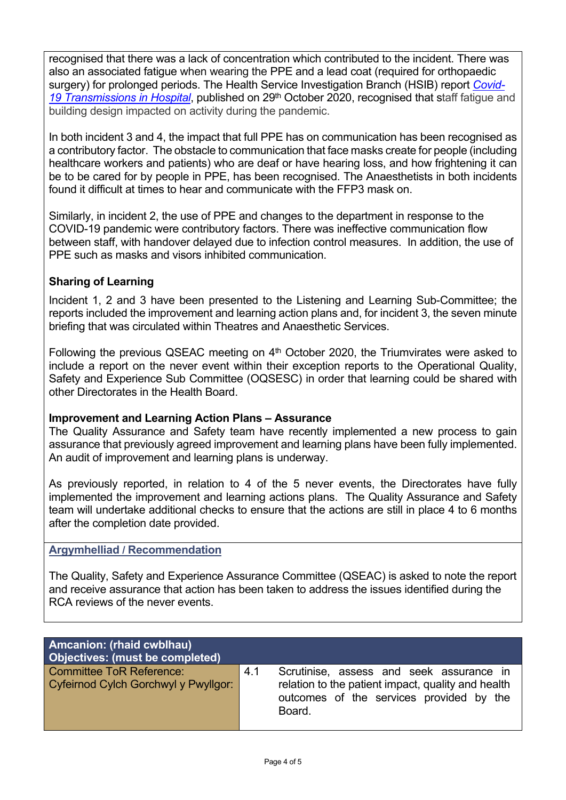recognised that there was a lack of concentration which contributed to the incident. There was also an associated fatigue when wearing the PPE and a lead coat (required for orthopaedic surgery) for prolonged periods. The Health Service Investigation Branch (HSIB) report *[Covid-](https://www.hsib.org.uk/documents/257/hsib-report-covid-19-transmission-hospitals.pdf)*[19 Transmissions in Hospital](https://www.hsib.org.uk/documents/257/hsib-report-covid-19-transmission-hospitals.pdf), published on 29<sup>th</sup> October 2020, recognised that staff fatigue and building design impacted on activity during the pandemic.

In both incident 3 and 4, the impact that full PPE has on communication has been recognised as a contributory factor. The obstacle to communication that face masks create for people (including healthcare workers and patients) who are deaf or have hearing loss, and how frightening it can be to be cared for by people in PPE, has been recognised. The Anaesthetists in both incidents found it difficult at times to hear and communicate with the FFP3 mask on.

Similarly, in incident 2, the use of PPE and changes to the department in response to the COVID-19 pandemic were contributory factors. There was ineffective communication flow between staff, with handover delayed due to infection control measures. In addition, the use of PPE such as masks and visors inhibited communication.

## **Sharing of Learning**

Incident 1, 2 and 3 have been presented to the Listening and Learning Sub-Committee; the reports included the improvement and learning action plans and, for incident 3, the seven minute briefing that was circulated within Theatres and Anaesthetic Services.

Following the previous QSEAC meeting on  $4<sup>th</sup>$  October 2020, the Triumvirates were asked to include a report on the never event within their exception reports to the Operational Quality, Safety and Experience Sub Committee (OQSESC) in order that learning could be shared with other Directorates in the Health Board.

### **Improvement and Learning Action Plans – Assurance**

The Quality Assurance and Safety team have recently implemented a new process to gain assurance that previously agreed improvement and learning plans have been fully implemented. An audit of improvement and learning plans is underway.

As previously reported, in relation to 4 of the 5 never events, the Directorates have fully implemented the improvement and learning actions plans. The Quality Assurance and Safety team will undertake additional checks to ensure that the actions are still in place 4 to 6 months after the completion date provided.

### **Argymhelliad / Recommendation**

The Quality, Safety and Experience Assurance Committee (QSEAC) is asked to note the report and receive assurance that action has been taken to address the issues identified during the RCA reviews of the never events.

| <b>Amcanion: (rhaid cwblhau)</b><br>Objectives: (must be completed)     |     |                                                                                                                                                      |
|-------------------------------------------------------------------------|-----|------------------------------------------------------------------------------------------------------------------------------------------------------|
| <b>Committee ToR Reference:</b><br>Cyfeirnod Cylch Gorchwyl y Pwyllgor: | 4.1 | Scrutinise, assess and seek assurance in<br>relation to the patient impact, quality and health<br>outcomes of the services provided by the<br>Board. |